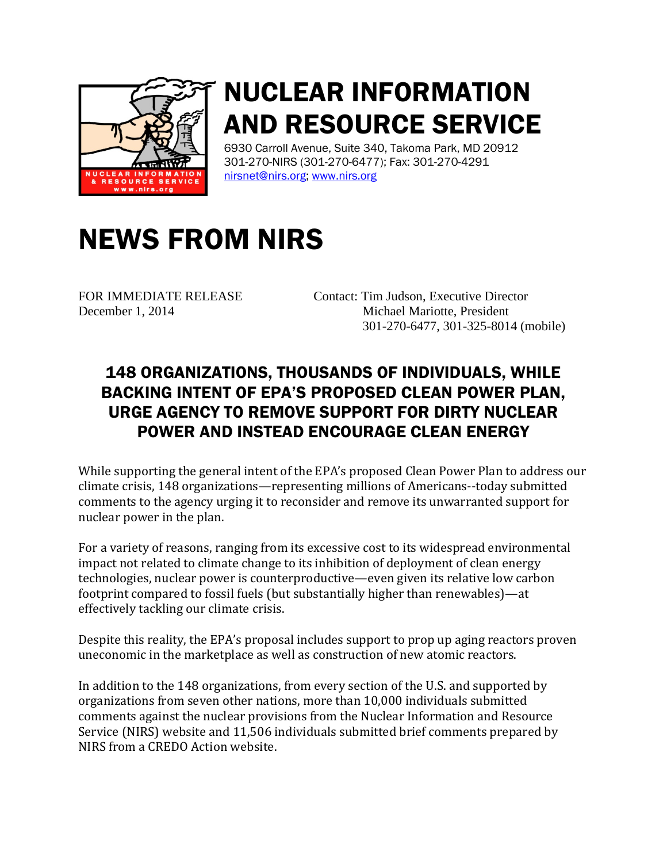

## NUCLEAR INFORMATION AND RESOURCE SERVICE

6930 Carroll Avenue, Suite 340, Takoma Park, MD 20912 301-270-NIRS (301-270-6477); Fax: 301-270-4291 [nirsnet@nirs.org;](mailto:nirsnet@nirs.org) [www.nirs.org](http://www.nirs.org/)

## NEWS FROM NIRS

FOR IMMEDIATE RELEASE Contact: Tim Judson, Executive Director December 1, 2014 Michael Mariotte, President 301-270-6477, 301-325-8014 (mobile)

## 148 ORGANIZATIONS, THOUSANDS OF INDIVIDUALS, WHILE BACKING INTENT OF EPA'S PROPOSED CLEAN POWER PLAN, URGE AGENCY TO REMOVE SUPPORT FOR DIRTY NUCLEAR POWER AND INSTEAD ENCOURAGE CLEAN ENERGY

While supporting the general intent of the EPA's proposed Clean Power Plan to address our climate crisis, 148 organizations—representing millions of Americans--today submitted comments to the agency urging it to reconsider and remove its unwarranted support for nuclear power in the plan.

For a variety of reasons, ranging from its excessive cost to its widespread environmental impact not related to climate change to its inhibition of deployment of clean energy technologies, nuclear power is counterproductive—even given its relative low carbon footprint compared to fossil fuels (but substantially higher than renewables)—at effectively tackling our climate crisis.

Despite this reality, the EPA's proposal includes support to prop up aging reactors proven uneconomic in the marketplace as well as construction of new atomic reactors.

In addition to the 148 organizations, from every section of the U.S. and supported by organizations from seven other nations, more than 10,000 individuals submitted comments against the nuclear provisions from the Nuclear Information and Resource Service (NIRS) website and 11,506 individuals submitted brief comments prepared by NIRS from a CREDO Action website.